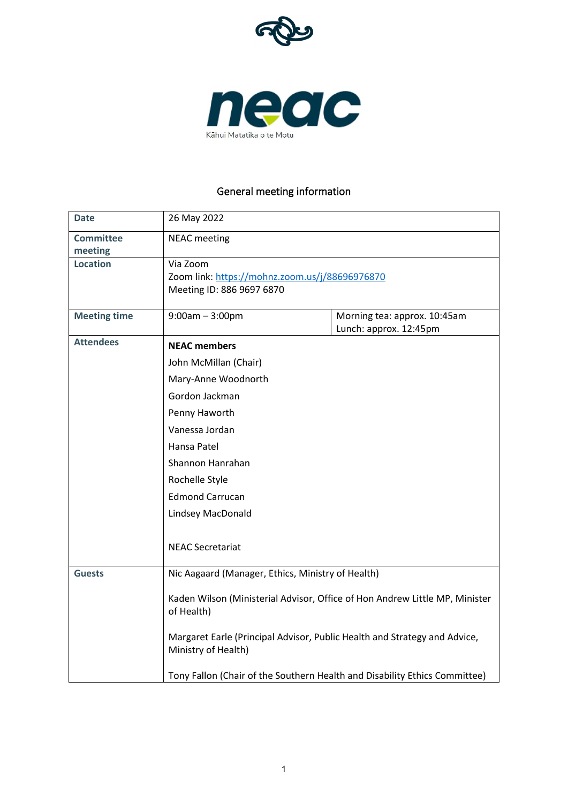



# General meeting information

| <b>Date</b>         | 26 May 2022                                                                                                                                                                                             |                              |  |
|---------------------|---------------------------------------------------------------------------------------------------------------------------------------------------------------------------------------------------------|------------------------------|--|
| <b>Committee</b>    | <b>NEAC</b> meeting                                                                                                                                                                                     |                              |  |
| meeting             |                                                                                                                                                                                                         |                              |  |
| <b>Location</b>     | Via Zoom                                                                                                                                                                                                |                              |  |
|                     | Zoom link: https://mohnz.zoom.us/j/88696976870                                                                                                                                                          |                              |  |
|                     | Meeting ID: 886 9697 6870                                                                                                                                                                               |                              |  |
| <b>Meeting time</b> | $9:00am - 3:00pm$                                                                                                                                                                                       | Morning tea: approx. 10:45am |  |
|                     |                                                                                                                                                                                                         | Lunch: approx. 12:45pm       |  |
| <b>Attendees</b>    | <b>NEAC members</b><br>John McMillan (Chair)<br>Mary-Anne Woodnorth<br>Gordon Jackman<br>Penny Haworth<br>Vanessa Jordan<br>Hansa Patel<br>Shannon Hanrahan<br>Rochelle Style<br><b>Edmond Carrucan</b> |                              |  |
|                     |                                                                                                                                                                                                         |                              |  |
|                     |                                                                                                                                                                                                         |                              |  |
|                     |                                                                                                                                                                                                         |                              |  |
|                     |                                                                                                                                                                                                         |                              |  |
|                     |                                                                                                                                                                                                         |                              |  |
|                     |                                                                                                                                                                                                         |                              |  |
|                     |                                                                                                                                                                                                         |                              |  |
|                     |                                                                                                                                                                                                         |                              |  |
|                     |                                                                                                                                                                                                         |                              |  |
|                     | Lindsey MacDonald                                                                                                                                                                                       |                              |  |
|                     |                                                                                                                                                                                                         |                              |  |
|                     | <b>NEAC Secretariat</b>                                                                                                                                                                                 |                              |  |
| <b>Guests</b>       |                                                                                                                                                                                                         |                              |  |
|                     | Nic Aagaard (Manager, Ethics, Ministry of Health)                                                                                                                                                       |                              |  |
|                     | Kaden Wilson (Ministerial Advisor, Office of Hon Andrew Little MP, Minister<br>of Health)                                                                                                               |                              |  |
|                     |                                                                                                                                                                                                         |                              |  |
|                     | Margaret Earle (Principal Advisor, Public Health and Strategy and Advice,                                                                                                                               |                              |  |
|                     | Ministry of Health)<br>Tony Fallon (Chair of the Southern Health and Disability Ethics Committee)                                                                                                       |                              |  |
|                     |                                                                                                                                                                                                         |                              |  |
|                     |                                                                                                                                                                                                         |                              |  |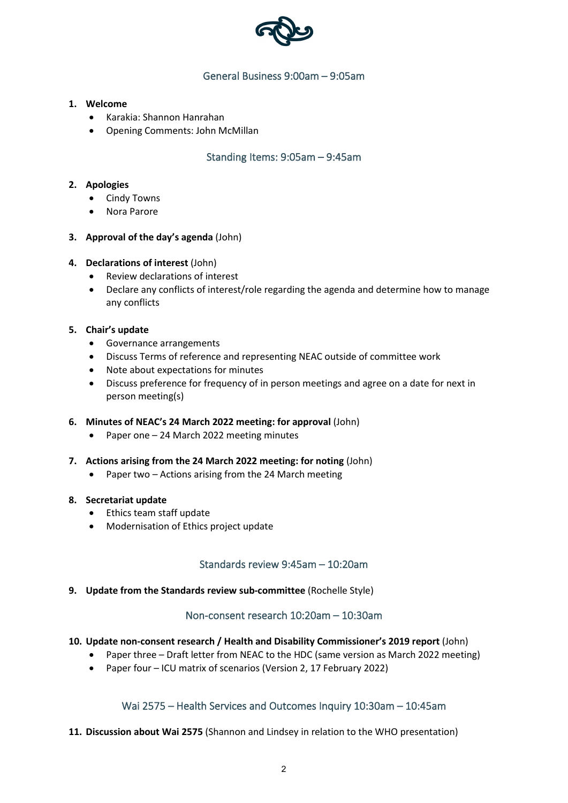

# General Business 9:00am – 9:05am

### **1. Welcome**

- Karakia: Shannon Hanrahan
- Opening Comments: John McMillan

# Standing Items: 9:05am – 9:45am

### **2. Apologies**

- Cindy Towns
- Nora Parore

### **3. Approval of the day's agenda** (John)

### **4. Declarations of interest** (John)

- Review declarations of interest
- Declare any conflicts of interest/role regarding the agenda and determine how to manage any conflicts

#### **5. Chair's update**

- Governance arrangements
- Discuss Terms of reference and representing NEAC outside of committee work
- Note about expectations for minutes
- Discuss preference for frequency of in person meetings and agree on a date for next in person meeting(s)

#### **6. Minutes of NEAC's 24 March 2022 meeting: for approval** (John)

- Paper one 24 March 2022 meeting minutes
- **7. Actions arising from the 24 March 2022 meeting: for noting** (John)
	- Paper two Actions arising from the 24 March meeting

#### **8. Secretariat update**

- Ethics team staff update
- Modernisation of Ethics project update

## Standards review 9:45am – 10:20am

**9. Update from the Standards review sub-committee** (Rochelle Style)

## Non-consent research 10:20am – 10:30am

## **10. Update non-consent research / Health and Disability Commissioner's 2019 report** (John)

- Paper three Draft letter from NEAC to the HDC (same version as March 2022 meeting)
- Paper four ICU matrix of scenarios (Version 2, 17 February 2022)

## Wai 2575 – Health Services and Outcomes Inquiry 10:30am – 10:45am

**11. Discussion about Wai 2575** (Shannon and Lindsey in relation to the WHO presentation)